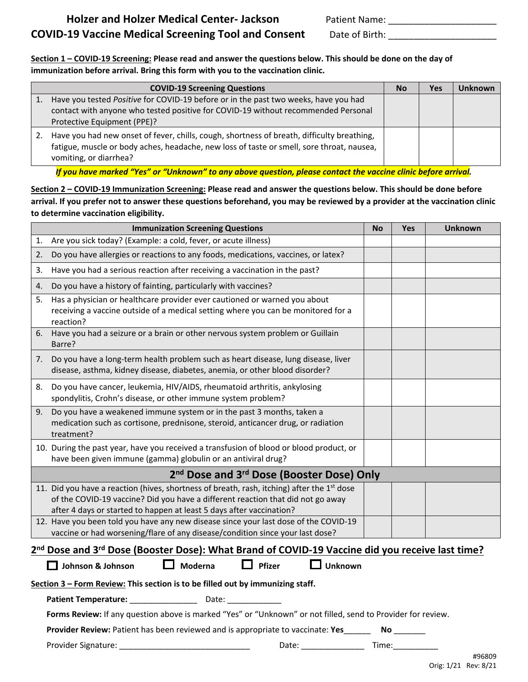**Section 1 – COVID-19 Screening: Please read and answer the questions below. This should be done on the day of immunization before arrival. Bring this form with you to the vaccination clinic.**

| <b>COVID-19 Screening Questions</b>                                                                                                                                                                               | <b>No</b> | Yes | <b>Unknown</b> |
|-------------------------------------------------------------------------------------------------------------------------------------------------------------------------------------------------------------------|-----------|-----|----------------|
| Have you tested Positive for COVID-19 before or in the past two weeks, have you had<br>contact with anyone who tested positive for COVID-19 without recommended Personal<br>Protective Equipment (PPE)?           |           |     |                |
| Have you had new onset of fever, chills, cough, shortness of breath, difficulty breathing,<br>fatigue, muscle or body aches, headache, new loss of taste or smell, sore throat, nausea,<br>vomiting, or diarrhea? |           |     |                |

*If you have marked "Yes" or "Unknown" to any above question, please contact the vaccine clinic before arrival.*

**Section 2 – COVID-19 Immunization Screening: Please read and answer the questions below. This should be done before arrival. If you prefer not to answer these questions beforehand, you may be reviewed by a provider at the vaccination clinic to determine vaccination eligibility.**

|                                                                                                 | <b>Immunization Screening Questions</b>                                                                                                                                                                                                                 | <b>No</b> | Yes | <b>Unknown</b> |  |  |  |  |
|-------------------------------------------------------------------------------------------------|---------------------------------------------------------------------------------------------------------------------------------------------------------------------------------------------------------------------------------------------------------|-----------|-----|----------------|--|--|--|--|
| 1.                                                                                              | Are you sick today? (Example: a cold, fever, or acute illness)                                                                                                                                                                                          |           |     |                |  |  |  |  |
| 2.                                                                                              | Do you have allergies or reactions to any foods, medications, vaccines, or latex?                                                                                                                                                                       |           |     |                |  |  |  |  |
| 3.                                                                                              | Have you had a serious reaction after receiving a vaccination in the past?                                                                                                                                                                              |           |     |                |  |  |  |  |
| 4.                                                                                              | Do you have a history of fainting, particularly with vaccines?                                                                                                                                                                                          |           |     |                |  |  |  |  |
| 5.                                                                                              | Has a physician or healthcare provider ever cautioned or warned you about<br>receiving a vaccine outside of a medical setting where you can be monitored for a<br>reaction?                                                                             |           |     |                |  |  |  |  |
| 6.                                                                                              | Have you had a seizure or a brain or other nervous system problem or Guillain<br>Barre?                                                                                                                                                                 |           |     |                |  |  |  |  |
| 7.                                                                                              | Do you have a long-term health problem such as heart disease, lung disease, liver<br>disease, asthma, kidney disease, diabetes, anemia, or other blood disorder?                                                                                        |           |     |                |  |  |  |  |
| 8.                                                                                              | Do you have cancer, leukemia, HIV/AIDS, rheumatoid arthritis, ankylosing<br>spondylitis, Crohn's disease, or other immune system problem?                                                                                                               |           |     |                |  |  |  |  |
| 9.                                                                                              | Do you have a weakened immune system or in the past 3 months, taken a<br>medication such as cortisone, prednisone, steroid, anticancer drug, or radiation<br>treatment?                                                                                 |           |     |                |  |  |  |  |
|                                                                                                 | 10. During the past year, have you received a transfusion of blood or blood product, or<br>have been given immune (gamma) globulin or an antiviral drug?                                                                                                |           |     |                |  |  |  |  |
| 2 <sup>nd</sup> Dose and 3 <sup>rd</sup> Dose (Booster Dose) Only                               |                                                                                                                                                                                                                                                         |           |     |                |  |  |  |  |
|                                                                                                 | 11. Did you have a reaction (hives, shortness of breath, rash, itching) after the $1st$ dose<br>of the COVID-19 vaccine? Did you have a different reaction that did not go away<br>after 4 days or started to happen at least 5 days after vaccination? |           |     |                |  |  |  |  |
|                                                                                                 | 12. Have you been told you have any new disease since your last dose of the COVID-19<br>vaccine or had worsening/flare of any disease/condition since your last dose?                                                                                   |           |     |                |  |  |  |  |
| 2nd Dose and 3rd Dose (Booster Dose): What Brand of COVID-19 Vaccine did you receive last time? |                                                                                                                                                                                                                                                         |           |     |                |  |  |  |  |
|                                                                                                 | <b>Unknown</b><br>Moderna<br>Pfizer<br>Johnson & Johnson                                                                                                                                                                                                |           |     |                |  |  |  |  |
| Section 3 - Form Review: This section is to be filled out by immunizing staff.                  |                                                                                                                                                                                                                                                         |           |     |                |  |  |  |  |
| <b>Patient Temperature:</b><br>Date:                                                            |                                                                                                                                                                                                                                                         |           |     |                |  |  |  |  |

**Forms Review:** If any question above is marked "Yes" or "Unknown" or not filled, send to Provider for review.

**Provider Review:** Patient has been reviewed and is appropriate to vaccinate: Yes\_\_\_\_\_\_ No \_\_\_\_\_\_\_

Provider Signature: \_\_\_\_\_\_\_\_\_\_\_\_\_\_\_\_\_\_\_\_\_\_\_\_\_\_\_\_\_ Date: \_\_\_\_\_\_\_\_\_\_\_\_\_\_ Time:\_\_\_\_\_\_\_\_\_\_